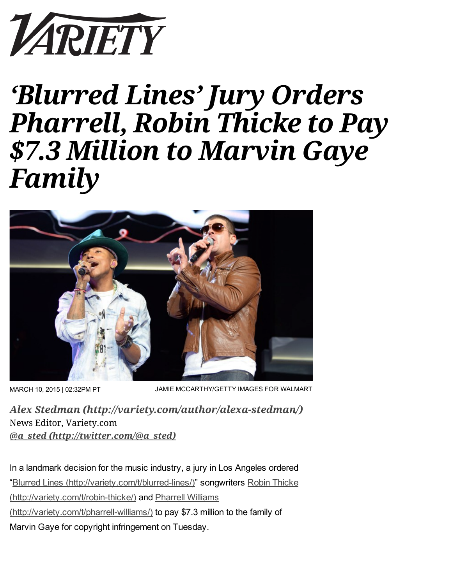

# 'Blurred Lines' Jury Orders Pharrell, Robin Thicke to Pay \$7.3 Million to Marvin Gaye Family



MARCH 10, 2015 | 02:32PM PT

JAMIE MCCARTHY/GETTY IMAGES FOR WALMART

Alex Stedman [\(http://variety.com/author/alexa-stedman/\)](http://variety.com/author/alexa-stedman/) News Editor, Variety.com @a\_sted [\(http://twitter.com/@a\\_sted\)](http://twitter.com/@a_sted)

In a landmark decision for the music industry, a jury in Los Angeles ordered "Blurred Lines (http://variety.com/t/blurred-lines/)" songwriters Robin Thicke (http://variety.com/t/robin-thicke/) and Pharrell Williams (http://variety.com/t/pharrell-williams/) to pay \$7.3 million to the family of Marvin Gaye for copyright infringement on Tuesday.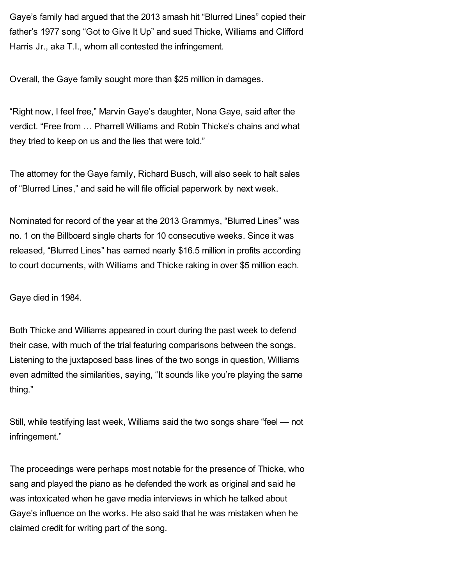Gaye's family had argued that the 2013 smash hit "Blurred Lines" copied their father's 1977 song "Got to Give It Up" and sued Thicke, Williams and Clifford Harris Jr., aka T.I., whom all contested the infringement.

Overall, the Gaye family sought more than \$25 million in damages.

"Right now, I feel free," Marvin Gaye's daughter, Nona Gaye, said after the verdict. "Free from … Pharrell Williams and Robin Thicke's chains and what they tried to keep on us and the lies that were told."

The attorney for the Gaye family, Richard Busch, will also seek to halt sales of "Blurred Lines," and said he will file official paperwork by next week.

Nominated for record of the year at the 2013 Grammys, "Blurred Lines" was no. 1 on the Billboard single charts for 10 consecutive weeks. Since it was released, "Blurred Lines" has earned nearly \$16.5 million in profits according to court documents, with Williams and Thicke raking in over \$5 million each.

Gaye died in 1984.

Both Thicke and Williams appeared in court during the past week to defend their case, with much of the trial featuring comparisons between the songs. Listening to the juxtaposed bass lines of the two songs in question, Williams even admitted the similarities, saying, "It sounds like you're playing the same thing."

Still, while testifying last week, Williams said the two songs share "feel — not infringement."

The proceedings were perhaps most notable for the presence of Thicke, who sang and played the piano as he defended the work as original and said he was intoxicated when he gave media interviews in which he talked about Gaye's influence on the works. He also said that he was mistaken when he claimed credit for writing part of the song.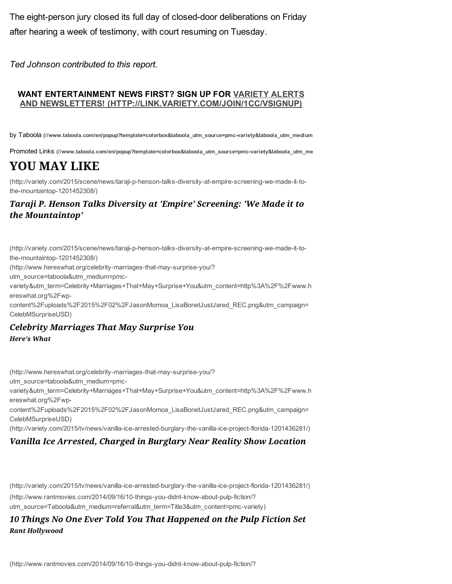The eight-person jury closed its full day of closed-door deliberations on Friday after hearing a week of testimony, with court resuming on Tuesday.

*Ted Johnson contributed to this report.*

#### WANT ENTERTAINMENT NEWS FIRST? SIGN UP FOR VARIETY ALERTS AND NEWSLETTERS! [\(HTTP://LINK.VARIETY.COM/JOIN/1CC/VSIGNUP\)](http://link.variety.com/join/1cc/vsignup)

by Taboola (//www.taboola.com/en/popup?template=colorbox&taboola\_utm\_source=pmc-variety&taboola\_utm\_medium

Promoted Links (//www.taboola.com/en/popup?template=colorbox&taboola\_utm\_source=pmc-variety&taboola\_utm\_me

## YOU MAY LIKE

(http://variety.com/2015/scene/news/taraji-p-henson-talks-diversity-at-empire-screening-we-made-it-tothe-mountaintop-1201452308/)

### Taraji P. Henson Talks Diversity at 'Empire' Screening: 'We Made it to the Mountaintop'

(http://variety.com/2015/scene/news/taraji-p-henson-talks-diversity-at-empire-screening-we-made-it-tothe-mountaintop-1201452308/)

(http://www.hereswhat.org/celebrity-marriages-that-may-surprise-you/?

utm\_source=taboola&utm\_medium=pmc-

[variety&utm\\_term=Celebrity+Marriages+That+May+Surprise+You&utm\\_content=http%3A%2F%2Fwww.h](http://www.hereswhat.org/celebrity-marriages-that-may-surprise-you/?utm_source=taboola&utm_medium=pmc-variety&utm_term=Celebrity+Marriages+That+May+Surprise+You&utm_content=http%3A%2F%2Fwww.hereswhat.org%2Fwp-content%2Fuploads%2F2015%2F02%2FJasonMomoa_LisaBonetJustJared_REC.png&utm_campaign=CelebMSurpriseUSD) ereswhat.org%2Fwp-

content%2Fuploads%2F2015%2F02%2FJasonMomoa\_LisaBonetJustJared\_REC.png&utm\_campaign= CelebMSurpriseUSD)

### Here's What Celebrity Marriages That May Surprise You

(http://www.hereswhat.org/celebrity-marriages-that-may-surprise-you/?

utm\_source=taboola&utm\_medium=pmc-

[variety&utm\\_term=Celebrity+Marriages+That+May+Surprise+You&utm\\_content=http%3A%2F%2Fwww.h](http://www.hereswhat.org/celebrity-marriages-that-may-surprise-you/?utm_source=taboola&utm_medium=pmc-variety&utm_term=Celebrity+Marriages+That+May+Surprise+You&utm_content=http%3A%2F%2Fwww.hereswhat.org%2Fwp-content%2Fuploads%2F2015%2F02%2FJasonMomoa_LisaBonetJustJared_REC.png&utm_campaign=CelebMSurpriseUSD) ereswhat.org%2Fwp-

content%2Fuploads%2F2015%2F02%2FJasonMomoa\_LisaBonetJustJared\_REC.png&utm\_campaign= CelebMSurpriseUSD)

(http://variety.com/2015/tv/news/vanilla-ice-arrested-burglary-the-vanilla-ice-project-florida-1201436281/)

### Vanilla Ice Arrested, Charged in Burglary Near Reality Show Location

(http://variety.com/2015/tv/news/vanilla-ice-arrested-burglary-the-vanilla-ice-project-florida-1201436281/) (http://www.rantmovies.com/2014/09/16/10-things-you-didnt-know-about-pulp-fiction/? utm\_source=Taboola&utm\_medium=referral&utm\_term=Title3&utm\_content=pmc-variety)

#### Rant Hollywood 10 Things No One Ever Told You That Happened on the Pulp Fiction Set